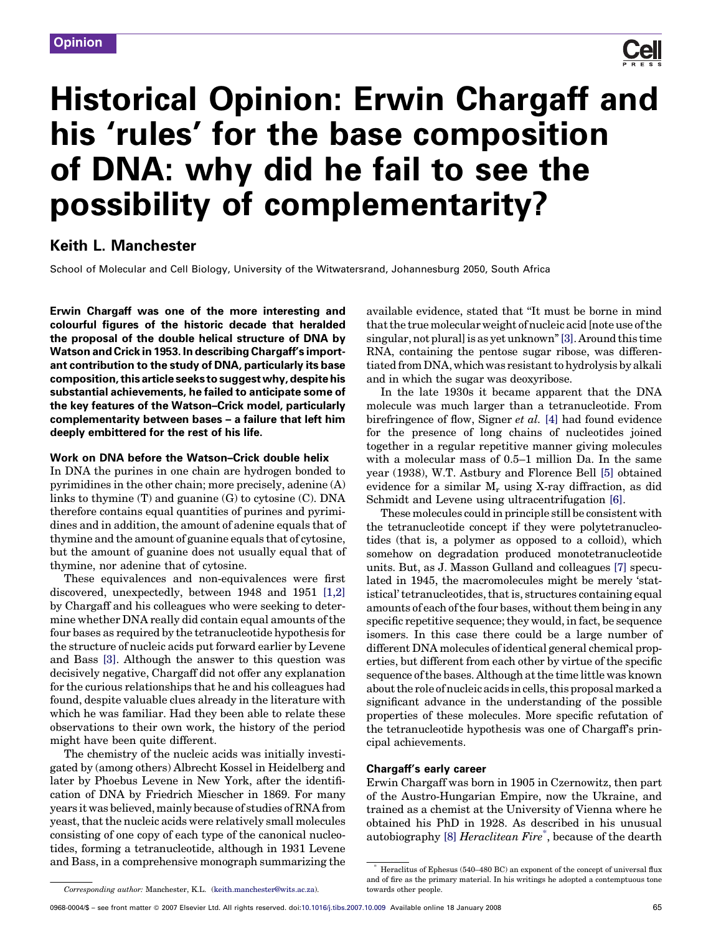

# Historical Opinion: Erwin Chargaff and his 'rules' for the base composition of DNA: why did he fail to see the possibility of complementarity?

# Keith L. Manchester

School of Molecular and Cell Biology, University of the Witwatersrand, Johannesburg 2050, South Africa

Erwin Chargaff was one of the more interesting and colourful figures of the historic decade that heralded the proposal of the double helical structure of DNA by Watson and Crick in 1953. In describing Chargaff's important contribution to the study of DNA, particularly its base composition, this articleseekstosuggest why, despite his substantial achievements, he failed to anticipate some of the key features of the Watson–Crick model, particularly complementarity between bases – a failure that left him deeply embittered for the rest of his life.

## Work on DNA before the Watson–Crick double helix

In DNA the purines in one chain are hydrogen bonded to pyrimidines in the other chain; more precisely, adenine (A) links to thymine (T) and guanine (G) to cytosine (C). DNA therefore contains equal quantities of purines and pyrimidines and in addition, the amount of adenine equals that of thymine and the amount of guanine equals that of cytosine, but the amount of guanine does not usually equal that of thymine, nor adenine that of cytosine.

These equivalences and non-equivalences were first discovered, unexpectedly, between 1948 and 1951 [\[1,2\]](#page-4-0) by Chargaff and his colleagues who were seeking to determine whether DNA really did contain equal amounts of the four bases as required by the tetranucleotide hypothesis for the structure of nucleic acids put forward earlier by Levene and Bass [\[3\].](#page-4-0) Although the answer to this question was decisively negative, Chargaff did not offer any explanation for the curious relationships that he and his colleagues had found, despite valuable clues already in the literature with which he was familiar. Had they been able to relate these observations to their own work, the history of the period might have been quite different.

The chemistry of the nucleic acids was initially investigated by (among others) Albrecht Kossel in Heidelberg and later by Phoebus Levene in New York, after the identification of DNA by Friedrich Miescher in 1869. For many years it was believed, mainly because of studies of RNA from yeast, that the nucleic acids were relatively small molecules consisting of one copy of each type of the canonical nucleotides, forming a tetranucleotide, although in 1931 Levene and Bass, in a comprehensive monograph summarizing the

available evidence, stated that ''It must be borne in mind that the true molecular weight of nucleic acid [note use of the singular, not plural] is as yet unknown''[\[3\].](#page-4-0) Around this time RNA, containing the pentose sugar ribose, was differentiated from DNA, which was resistant to hydrolysis by alkali and in which the sugar was deoxyribose.

In the late 1930s it became apparent that the DNA molecule was much larger than a tetranucleotide. From birefringence of flow, Signer et al. [\[4\]](#page-4-0) had found evidence for the presence of long chains of nucleotides joined together in a regular repetitive manner giving molecules with a molecular mass of 0.5–1 million Da. In the same year (1938), W.T. Astbury and Florence Bell [\[5\]](#page-4-0) obtained evidence for a similar  $M_r$  using X-ray diffraction, as did Schmidt and Levene using ultracentrifugation [\[6\]](#page-4-0).

These molecules could in principle still be consistent with the tetranucleotide concept if they were polytetranucleotides (that is, a polymer as opposed to a colloid), which somehow on degradation produced monotetranucleotide units. But, as J. Masson Gulland and colleagues [\[7\]](#page-4-0) speculated in 1945, the macromolecules might be merely 'statistical' tetranucleotides, that is, structures containing equal amounts of each of the four bases, without them being in any specific repetitive sequence; they would, in fact, be sequence isomers. In this case there could be a large number of different DNA molecules of identical general chemical properties, but different from each other by virtue of the specific sequence of the bases. Although at the time little was known about the role of nucleic acids in cells, this proposal marked a significant advance in the understanding of the possible properties of these molecules. More specific refutation of the tetranucleotide hypothesis was one of Chargaff's principal achievements.

#### Chargaff's early career

Erwin Chargaff was born in 1905 in Czernowitz, then part of the Austro-Hungarian Empire, now the Ukraine, and trained as a chemist at the University of Vienna where he obtained his PhD in 1928. As described in his unusual autobiography [\[8\]](#page-4-0) Heraclitean Fire\*, because of the dearth

Heraclitus of Ephesus (540–480 BC) an exponent of the concept of universal flux and of fire as the primary material. In his writings he adopted a contemptuous tone towards other people.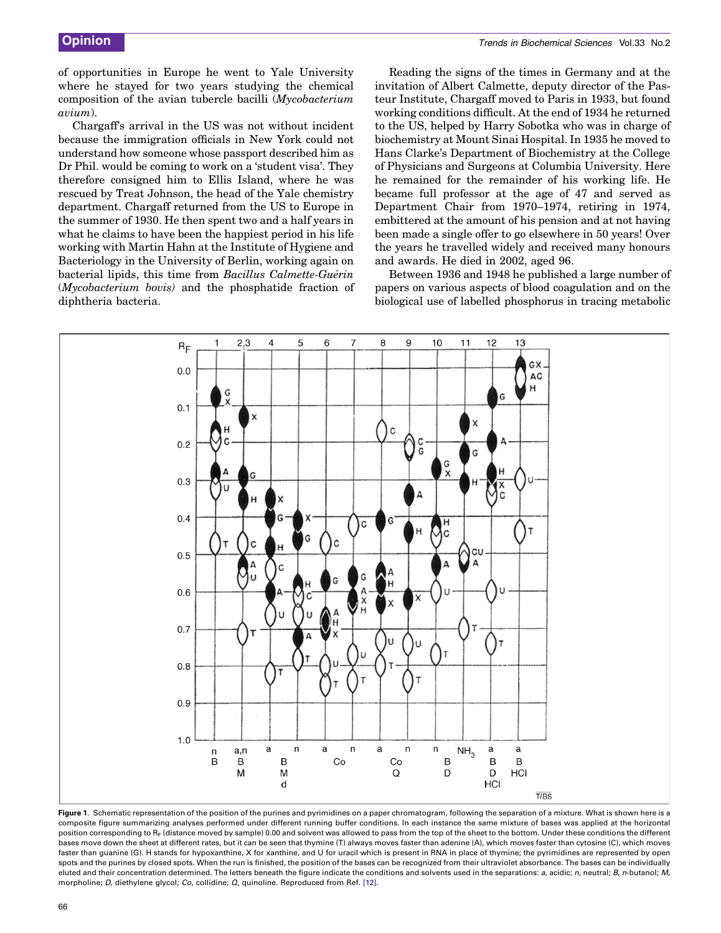<span id="page-1-0"></span>of opportunities in Europe he went to Yale University where he stayed for two years studying the chemical composition of the avian tubercle bacilli (Mycobacterium avium).

Chargaff's arrival in the US was not without incident because the immigration officials in New York could not understand how someone whose passport described him as Dr Phil. would be coming to work on a 'student visa'. They therefore consigned him to Ellis Island, where he was rescued by Treat Johnson, the head of the Yale chemistry department. Chargaff returned from the US to Europe in the summer of 1930. He then spent two and a half years in what he claims to have been the happiest period in his life working with Martin Hahn at the Institute of Hygiene and Bacteriology in the University of Berlin, working again on bacterial lipids, this time from Bacillus Calmette-Guérin (Mycobacterium bovis) and the phosphatide fraction of diphtheria bacteria.

Reading the signs of the times in Germany and at the invitation of Albert Calmette, deputy director of the Pasteur Institute, Chargaff moved to Paris in 1933, but found working conditions difficult. At the end of 1934 he returned to the US, helped by Harry Sobotka who was in charge of biochemistry at Mount Sinai Hospital. In 1935 he moved to Hans Clarke's Department of Biochemistry at the College of Physicians and Surgeons at Columbia University. Here he remained for the remainder of his working life. He became full professor at the age of 47 and served as Department Chair from 1970–1974, retiring in 1974, embittered at the amount of his pension and at not having been made a single offer to go elsewhere in 50 years! Over the years he travelled widely and received many honours and awards. He died in 2002, aged 96.

Between 1936 and 1948 he published a large number of papers on various aspects of blood coagulation and on the biological use of labelled phosphorus in tracing metabolic



Figure 1. Schematic representation of the position of the purines and pyrimidines on a paper chromatogram, following the separation of a mixture. What is shown here is a composite figure summarizing analyses performed under different running buffer conditions. In each instance the same mixture of bases was applied at the horizontal position corresponding to R<sub>F</sub> (distance moved by sample) 0.00 and solvent was allowed to pass from the top of the sheet to the bottom. Under these conditions the different bases move down the sheet at different rates, but it can be seen that thymine (T) always moves faster than adenine (A), which moves faster than cytosine (C), which moves faster than guanine (G). H stands for hypoxanthine, X for xanthine, and U for uracil which is present in RNA in place of thymine; the pyrimidines are represented by open spots and the purines by closed spots. When the run is finished, the position of the bases can be recognized from their ultraviolet absorbance. The bases can be individually eluted and their concentration determined. The letters beneath the figure indicate the conditions and solvents used in the separations: a, acidic; n, neutral; B, n-butanol; M, morpholine; D, diethylene glycol; Co, collidine; Q, quinoline. Reproduced from Ref. [\[12\].](#page-5-0)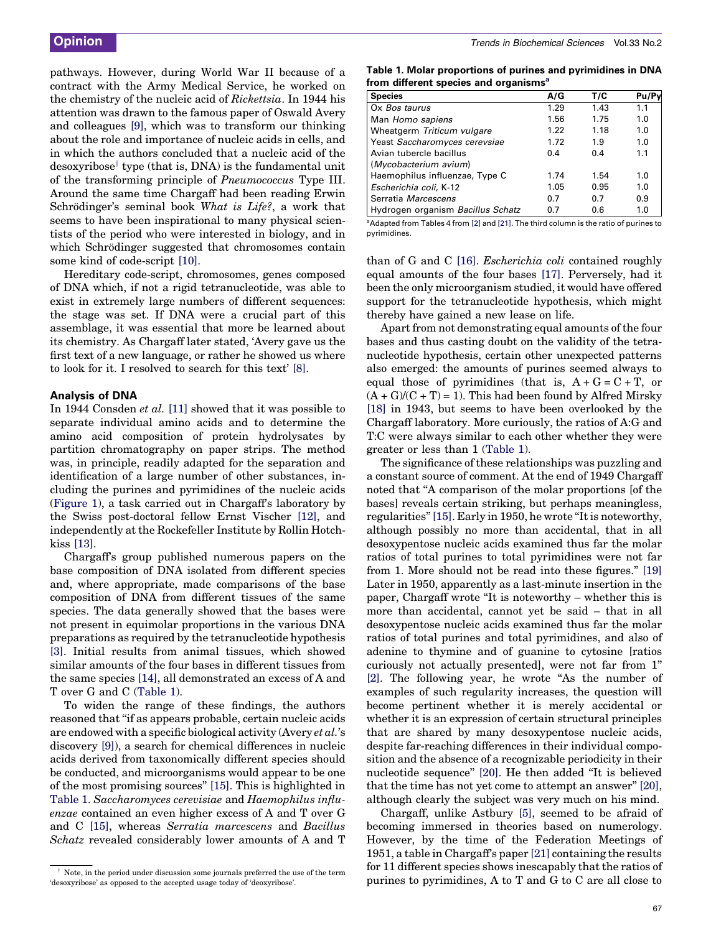<span id="page-2-0"></span>pathways. However, during World War II because of a contract with the Army Medical Service, he worked on the chemistry of the nucleic acid of Rickettsia. In 1944 his attention was drawn to the famous paper of Oswald Avery and colleagues [\[9\]](#page-5-0), which was to transform our thinking about the role and importance of nucleic acids in cells, and in which the authors concluded that a nucleic acid of the  $\text{desoxyribose}^{\dagger}$  type (that is, DNA) is the fundamental unit of the transforming principle of Pneumococcus Type III. Around the same time Chargaff had been reading Erwin Schrödinger's seminal book What is Life?, a work that seems to have been inspirational to many physical scientists of the period who were interested in biology, and in which Schrödinger suggested that chromosomes contain some kind of code-script [\[10\].](#page-5-0)

Hereditary code-script, chromosomes, genes composed of DNA which, if not a rigid tetranucleotide, was able to exist in extremely large numbers of different sequences: the stage was set. If DNA were a crucial part of this assemblage, it was essential that more be learned about its chemistry. As Chargaff later stated, 'Avery gave us the first text of a new language, or rather he showed us where to look for it. I resolved to search for this text' [\[8\].](#page-4-0)

## Analysis of DNA

In 1944 Consden et al. [\[11\]](#page-5-0) showed that it was possible to separate individual amino acids and to determine the amino acid composition of protein hydrolysates by partition chromatography on paper strips. The method was, in principle, readily adapted for the separation and identification of a large number of other substances, including the purines and pyrimidines of the nucleic acids ([Figure 1](#page-1-0)), a task carried out in Chargaff's laboratory by the Swiss post-doctoral fellow Ernst Vischer [\[12\]](#page-5-0), and independently at the Rockefeller Institute by Rollin Hotchkiss [\[13\]](#page-5-0).

Chargaff's group published numerous papers on the base composition of DNA isolated from different species and, where appropriate, made comparisons of the base composition of DNA from different tissues of the same species. The data generally showed that the bases were not present in equimolar proportions in the various DNA preparations as required by the tetranucleotide hypothesis [\[3\].](#page-4-0) Initial results from animal tissues, which showed similar amounts of the four bases in different tissues from the same species [\[14\],](#page-5-0) all demonstrated an excess of A and T over G and C (Table 1).

To widen the range of these findings, the authors reasoned that ''if as appears probable, certain nucleic acids are endowed with a specific biological activity (Avery et al.'s discovery [\[9\]](#page-5-0)), a search for chemical differences in nucleic acids derived from taxonomically different species should be conducted, and microorganisms would appear to be one of the most promising sources'' [\[15\]](#page-5-0). This is highlighted in Table 1. Saccharomyces cerevisiae and Haemophilus influenzae contained an even higher excess of A and T over G and C [\[15\],](#page-5-0) whereas Serratia marcescens and Bacillus Schatz revealed considerably lower amounts of A and T

| Table 1. Molar proportions of purines and pyrimidines in DNA |  |  |
|--------------------------------------------------------------|--|--|
| from different species and organisms <sup>a</sup>            |  |  |

| <b>Species</b>                    | A/G  | T/C  | $Pu/P_1$ |
|-----------------------------------|------|------|----------|
| Ox Bos taurus                     | 1.29 | 1.43 | 1.1      |
| Man Homo sapiens                  | 1.56 | 1.75 | 1.0      |
| Wheatgerm Triticum vulgare        | 1.22 | 1.18 | 1.0      |
| Yeast Saccharomyces cerevsiae     | 1.72 | 1.9  | 1.0      |
| Avian tubercle bacillus           | 0.4  | 0.4  | 1.1      |
| (Mycobacterium avium)             |      |      |          |
| Haemophilus influenzae, Type C    | 1.74 | 1.54 | 1.0      |
| Escherichia coli, K-12            | 1.05 | 0.95 | 1.0      |
| Serratia Marcescens               | 0.7  | 0.7  | 0.9      |
| Hydrogen organism Bacillus Schatz | 0.7  | 0.6  | 1.0      |

<sup>a</sup> Adapted from Tables 4 from [\[2\]](#page-4-0) and [\[21\]](#page-5-0). The third column is the ratio of purines to pyrimidines.

than of G and C [\[16\].](#page-5-0) Escherichia coli contained roughly equal amounts of the four bases [\[17\].](#page-5-0) Perversely, had it been the only microorganism studied, it would have offered support for the tetranucleotide hypothesis, which might thereby have gained a new lease on life.

Apart from not demonstrating equal amounts of the four bases and thus casting doubt on the validity of the tetranucleotide hypothesis, certain other unexpected patterns also emerged: the amounts of purines seemed always to equal those of pyrimidines (that is,  $A + G = C + T$ , or  $(A + G)/(C + T) = 1$ ). This had been found by Alfred Mirsky [\[18\]](#page-5-0) in 1943, but seems to have been overlooked by the Chargaff laboratory. More curiously, the ratios of A:G and T:C were always similar to each other whether they were greater or less than 1 (Table 1).

The significance of these relationships was puzzling and a constant source of comment. At the end of 1949 Chargaff noted that ''A comparison of the molar proportions [of the bases] reveals certain striking, but perhaps meaningless, regularities" [\[15\]](#page-5-0). Early in 1950, he wrote "It is noteworthy, although possibly no more than accidental, that in all desoxypentose nucleic acids examined thus far the molar ratios of total purines to total pyrimidines were not far from 1. More should not be read into these figures.'' [\[19\]](#page-5-0) Later in 1950, apparently as a last-minute insertion in the paper, Chargaff wrote ''It is noteworthy – whether this is more than accidental, cannot yet be said – that in all desoxypentose nucleic acids examined thus far the molar ratios of total purines and total pyrimidines, and also of adenine to thymine and of guanine to cytosine [ratios curiously not actually presented], were not far from 1'' [\[2\].](#page-4-0) The following year, he wrote "As the number of examples of such regularity increases, the question will become pertinent whether it is merely accidental or whether it is an expression of certain structural principles that are shared by many desoxypentose nucleic acids, despite far-reaching differences in their individual composition and the absence of a recognizable periodicity in their nucleotide sequence'' [\[20\].](#page-5-0) He then added ''It is believed that the time has not yet come to attempt an answer'' [\[20\]](#page-5-0), although clearly the subject was very much on his mind.

Chargaff, unlike Astbury [\[5\]](#page-4-0), seemed to be afraid of becoming immersed in theories based on numerology. However, by the time of the Federation Meetings of 1951, a table in Chargaff's paper [\[21\]](#page-5-0) containing the results for 11 different species shows inescapably that the ratios of purines to pyrimidines, A to T and G to C are all close to

 $\dagger$  Note, in the period under discussion some journals preferred the use of the term 'desoxyribose' as opposed to the accepted usage today of 'deoxyribose'.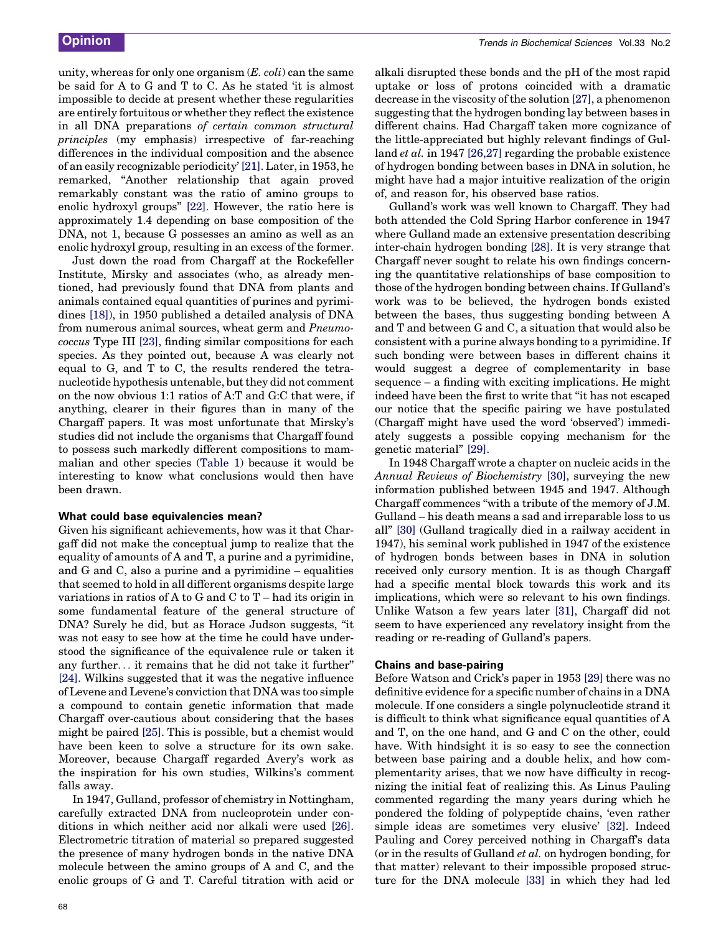unity, whereas for only one organism  $(E. \, coli)$  can the same be said for A to G and T to C. As he stated 'it is almost impossible to decide at present whether these regularities are entirely fortuitous or whether they reflect the existence in all DNA preparations of certain common structural principles (my emphasis) irrespective of far-reaching differences in the individual composition and the absence of an easily recognizable periodicity' [\[21\]](#page-5-0). Later, in 1953, he remarked, ''Another relationship that again proved remarkably constant was the ratio of amino groups to enolic hydroxyl groups'' [\[22\].](#page-5-0) However, the ratio here is approximately 1.4 depending on base composition of the DNA, not 1, because G possesses an amino as well as an enolic hydroxyl group, resulting in an excess of the former.

Just down the road from Chargaff at the Rockefeller Institute, Mirsky and associates (who, as already mentioned, had previously found that DNA from plants and animals contained equal quantities of purines and pyrimidines [\[18\]](#page-5-0)), in 1950 published a detailed analysis of DNA from numerous animal sources, wheat germ and Pneumococcus Type III [\[23\],](#page-5-0) finding similar compositions for each species. As they pointed out, because A was clearly not equal to G, and T to C, the results rendered the tetranucleotide hypothesis untenable, but they did not comment on the now obvious 1:1 ratios of A:T and G:C that were, if anything, clearer in their figures than in many of the Chargaff papers. It was most unfortunate that Mirsky's studies did not include the organisms that Chargaff found to possess such markedly different compositions to mammalian and other species [\(Table 1\)](#page-2-0) because it would be interesting to know what conclusions would then have been drawn.

#### What could base equivalencies mean?

Given his significant achievements, how was it that Chargaff did not make the conceptual jump to realize that the equality of amounts of A and T, a purine and a pyrimidine, and G and C, also a purine and a pyrimidine – equalities that seemed to hold in all different organisms despite large variations in ratios of A to G and C to T – had its origin in some fundamental feature of the general structure of DNA? Surely he did, but as Horace Judson suggests, ''it was not easy to see how at the time he could have understood the significance of the equivalence rule or taken it any further... it remains that he did not take it further'' [\[24\]](#page-5-0). Wilkins suggested that it was the negative influence of Levene and Levene's conviction that DNA was too simple a compound to contain genetic information that made Chargaff over-cautious about considering that the bases might be paired [\[25\]](#page-5-0). This is possible, but a chemist would have been keen to solve a structure for its own sake. Moreover, because Chargaff regarded Avery's work as the inspiration for his own studies, Wilkins's comment falls away.

In 1947, Gulland, professor of chemistry in Nottingham, carefully extracted DNA from nucleoprotein under conditions in which neither acid nor alkali were used [\[26\]](#page-5-0). Electrometric titration of material so prepared suggested the presence of many hydrogen bonds in the native DNA molecule between the amino groups of A and C, and the enolic groups of G and T. Careful titration with acid or alkali disrupted these bonds and the pH of the most rapid uptake or loss of protons coincided with a dramatic decrease in the viscosity of the solution [\[27\]](#page-5-0), a phenomenon suggesting that the hydrogen bonding lay between bases in different chains. Had Chargaff taken more cognizance of the little-appreciated but highly relevant findings of Gulland *et al.* in 1947 [\[26,27\]](#page-5-0) regarding the probable existence of hydrogen bonding between bases in DNA in solution, he might have had a major intuitive realization of the origin of, and reason for, his observed base ratios.

Gulland's work was well known to Chargaff. They had both attended the Cold Spring Harbor conference in 1947 where Gulland made an extensive presentation describing inter-chain hydrogen bonding [\[28\]](#page-5-0). It is very strange that Chargaff never sought to relate his own findings concerning the quantitative relationships of base composition to those of the hydrogen bonding between chains. If Gulland's work was to be believed, the hydrogen bonds existed between the bases, thus suggesting bonding between A and T and between G and C, a situation that would also be consistent with a purine always bonding to a pyrimidine. If such bonding were between bases in different chains it would suggest a degree of complementarity in base sequence – a finding with exciting implications. He might indeed have been the first to write that ''it has not escaped our notice that the specific pairing we have postulated (Chargaff might have used the word 'observed') immediately suggests a possible copying mechanism for the genetic material'' [\[29\]](#page-5-0).

In 1948 Chargaff wrote a chapter on nucleic acids in the Annual Reviews of Biochemistry [\[30\]](#page-5-0), surveying the new information published between 1945 and 1947. Although Chargaff commences ''with a tribute of the memory of J.M. Gulland – his death means a sad and irreparable loss to us all'' [\[30\]](#page-5-0) (Gulland tragically died in a railway accident in 1947), his seminal work published in 1947 of the existence of hydrogen bonds between bases in DNA in solution received only cursory mention. It is as though Chargaff had a specific mental block towards this work and its implications, which were so relevant to his own findings. Unlike Watson a few years later [\[31\]](#page-5-0), Chargaff did not seem to have experienced any revelatory insight from the reading or re-reading of Gulland's papers.

#### Chains and base-pairing

Before Watson and Crick's paper in 1953 [\[29\]](#page-5-0) there was no definitive evidence for a specific number of chains in a DNA molecule. If one considers a single polynucleotide strand it is difficult to think what significance equal quantities of A and T, on the one hand, and G and C on the other, could have. With hindsight it is so easy to see the connection between base pairing and a double helix, and how complementarity arises, that we now have difficulty in recognizing the initial feat of realizing this. As Linus Pauling commented regarding the many years during which he pondered the folding of polypeptide chains, 'even rather simple ideas are sometimes very elusive' [\[32\].](#page-5-0) Indeed Pauling and Corey perceived nothing in Chargaff's data (or in the results of Gulland et al. on hydrogen bonding, for that matter) relevant to their impossible proposed structure for the DNA molecule [\[33\]](#page-5-0) in which they had led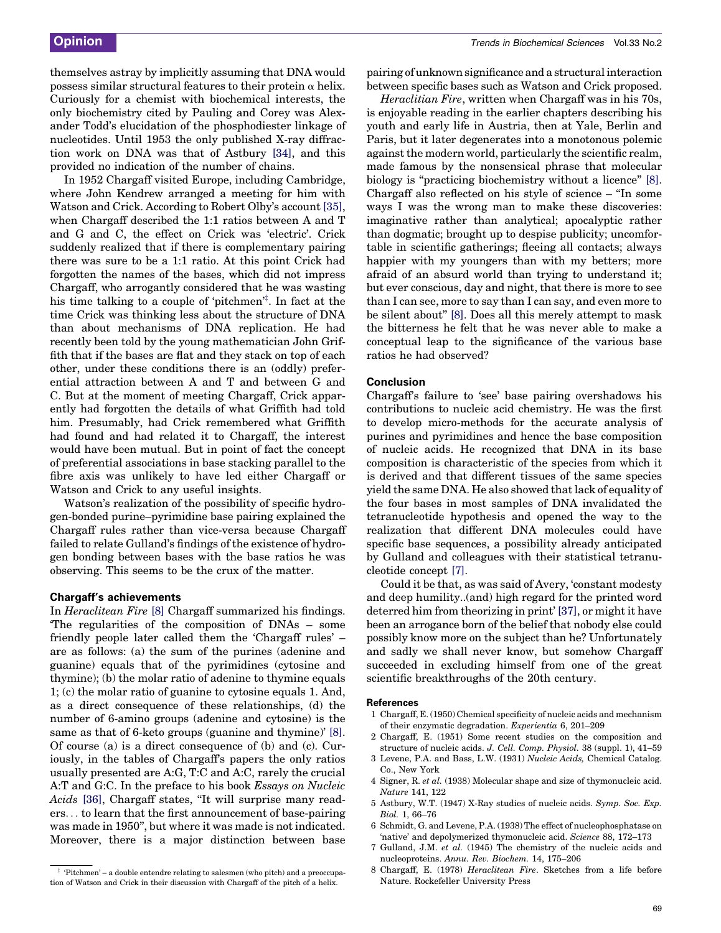<span id="page-4-0"></span>themselves astray by implicitly assuming that DNA would possess similar structural features to their protein  $\alpha$  helix. Curiously for a chemist with biochemical interests, the only biochemistry cited by Pauling and Corey was Alexander Todd's elucidation of the phosphodiester linkage of nucleotides. Until 1953 the only published X-ray diffraction work on DNA was that of Astbury [\[34\],](#page-5-0) and this provided no indication of the number of chains.

In 1952 Chargaff visited Europe, including Cambridge, where John Kendrew arranged a meeting for him with Watson and Crick. According to Robert Olby's account [\[35\]](#page-5-0), when Chargaff described the 1:1 ratios between A and T and G and C, the effect on Crick was 'electric'. Crick suddenly realized that if there is complementary pairing there was sure to be a 1:1 ratio. At this point Crick had forgotten the names of the bases, which did not impress Chargaff, who arrogantly considered that he was wasting his time talking to a couple of 'pitchmen'<sup>†</sup>. In fact at the time Crick was thinking less about the structure of DNA than about mechanisms of DNA replication. He had recently been told by the young mathematician John Griffith that if the bases are flat and they stack on top of each other, under these conditions there is an (oddly) preferential attraction between A and T and between G and C. But at the moment of meeting Chargaff, Crick apparently had forgotten the details of what Griffith had told him. Presumably, had Crick remembered what Griffith had found and had related it to Chargaff, the interest would have been mutual. But in point of fact the concept of preferential associations in base stacking parallel to the fibre axis was unlikely to have led either Chargaff or Watson and Crick to any useful insights.

Watson's realization of the possibility of specific hydrogen-bonded purine–pyrimidine base pairing explained the Chargaff rules rather than vice-versa because Chargaff failed to relate Gulland's findings of the existence of hydrogen bonding between bases with the base ratios he was observing. This seems to be the crux of the matter.

#### Chargaff's achievements

In Heraclitean Fire [8] Chargaff summarized his findings. 'The regularities of the composition of DNAs – some friendly people later called them the 'Chargaff rules' – are as follows: (a) the sum of the purines (adenine and guanine) equals that of the pyrimidines (cytosine and thymine); (b) the molar ratio of adenine to thymine equals 1; (c) the molar ratio of guanine to cytosine equals 1. And, as a direct consequence of these relationships, (d) the number of 6-amino groups (adenine and cytosine) is the same as that of 6-keto groups (guanine and thymine)' [8]. Of course (a) is a direct consequence of (b) and (c). Curiously, in the tables of Chargaff's papers the only ratios usually presented are A:G, T:C and A:C, rarely the crucial A:T and G:C. In the preface to his book Essays on Nucleic Acids [\[36\],](#page-5-0) Chargaff states, "It will surprise many readers... to learn that the first announcement of base-pairing was made in 1950'', but where it was made is not indicated. Moreover, there is a major distinction between base

pairing of unknown significance and a structural interaction between specific bases such as Watson and Crick proposed.

Heraclitian Fire, written when Chargaff was in his 70s, is enjoyable reading in the earlier chapters describing his youth and early life in Austria, then at Yale, Berlin and Paris, but it later degenerates into a monotonous polemic against the modern world, particularly the scientific realm, made famous by the nonsensical phrase that molecular biology is "practicing biochemistry without a licence" [8]. Chargaff also reflected on his style of science – ''In some ways I was the wrong man to make these discoveries: imaginative rather than analytical; apocalyptic rather than dogmatic; brought up to despise publicity; uncomfortable in scientific gatherings; fleeing all contacts; always happier with my youngers than with my betters; more afraid of an absurd world than trying to understand it; but ever conscious, day and night, that there is more to see than I can see, more to say than I can say, and even more to be silent about'' [8]. Does all this merely attempt to mask the bitterness he felt that he was never able to make a conceptual leap to the significance of the various base ratios he had observed?

#### Conclusion

Chargaff's failure to 'see' base pairing overshadows his contributions to nucleic acid chemistry. He was the first to develop micro-methods for the accurate analysis of purines and pyrimidines and hence the base composition of nucleic acids. He recognized that DNA in its base composition is characteristic of the species from which it is derived and that different tissues of the same species yield the same DNA. He also showed that lack of equality of the four bases in most samples of DNA invalidated the tetranucleotide hypothesis and opened the way to the realization that different DNA molecules could have specific base sequences, a possibility already anticipated by Gulland and colleagues with their statistical tetranucleotide concept [7].

Could it be that, as was said of Avery, 'constant modesty and deep humility..(and) high regard for the printed word deterred him from theorizing in print' [\[37\]](#page-5-0), or might it have been an arrogance born of the belief that nobody else could possibly know more on the subject than he? Unfortunately and sadly we shall never know, but somehow Chargaff succeeded in excluding himself from one of the great scientific breakthroughs of the 20th century.

#### **References**

- 1 Chargaff, E. (1950) Chemical specificity of nucleic acids and mechanism of their enzymatic degradation. Experientia 6, 201–209
- 2 Chargaff, E. (1951) Some recent studies on the composition and structure of nucleic acids. J. Cell. Comp. Physiol. 38 (suppl. 1), 41–59
- 3 Levene, P.A. and Bass, L.W. (1931) Nucleic Acids, Chemical Catalog. Co., New York
- 4 Signer, R. et al. (1938) Molecular shape and size of thymonucleic acid. Nature 141, 122
- 5 Astbury, W.T. (1947) X-Ray studies of nucleic acids. Symp. Soc. Exp. Biol. 1, 66–76
- 6 Schmidt, G. and Levene, P.A. (1938) The effect of nucleophosphatase on 'native' and depolymerized thymonucleic acid. Science 88, 172–173
- 7 Gulland, J.M. et al. (1945) The chemistry of the nucleic acids and nucleoproteins. Annu. Rev. Biochem. 14, 175–206
- 8 Chargaff, E. (1978) Heraclitean Fire. Sketches from a life before Nature. Rockefeller University Press